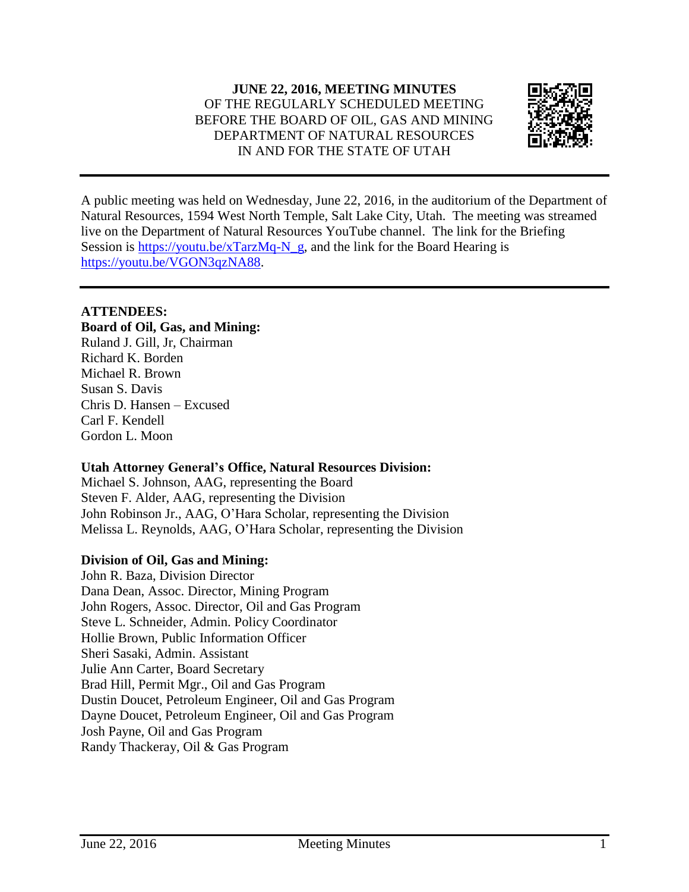

A public meeting was held on Wednesday, June 22, 2016, in the auditorium of the Department of Natural Resources, 1594 West North Temple, Salt Lake City, Utah. The meeting was streamed live on the Department of Natural Resources YouTube channel. The link for the Briefing Session is [https://youtu.be/xTarzMq-N\\_g,](https://youtu.be/xTarzMq-N_g) and the link for the Board Hearing is [https://youtu.be/VGON3qzNA88.](https://youtu.be/VGON3qzNA88)

# **ATTENDEES:**

# **Board of Oil, Gas, and Mining:**

Ruland J. Gill, Jr, Chairman Richard K. Borden Michael R. Brown Susan S. Davis Chris D. Hansen – Excused Carl F. Kendell Gordon L. Moon

# **Utah Attorney General's Office, Natural Resources Division:**

Michael S. Johnson, AAG, representing the Board Steven F. Alder, AAG, representing the Division John Robinson Jr., AAG, O'Hara Scholar, representing the Division Melissa L. Reynolds, AAG, O'Hara Scholar, representing the Division

# **Division of Oil, Gas and Mining:**

John R. Baza, Division Director Dana Dean, Assoc. Director, Mining Program John Rogers, Assoc. Director, Oil and Gas Program Steve L. Schneider, Admin. Policy Coordinator Hollie Brown, Public Information Officer Sheri Sasaki, Admin. Assistant Julie Ann Carter, Board Secretary Brad Hill, Permit Mgr., Oil and Gas Program Dustin Doucet, Petroleum Engineer, Oil and Gas Program Dayne Doucet, Petroleum Engineer, Oil and Gas Program Josh Payne, Oil and Gas Program Randy Thackeray, Oil & Gas Program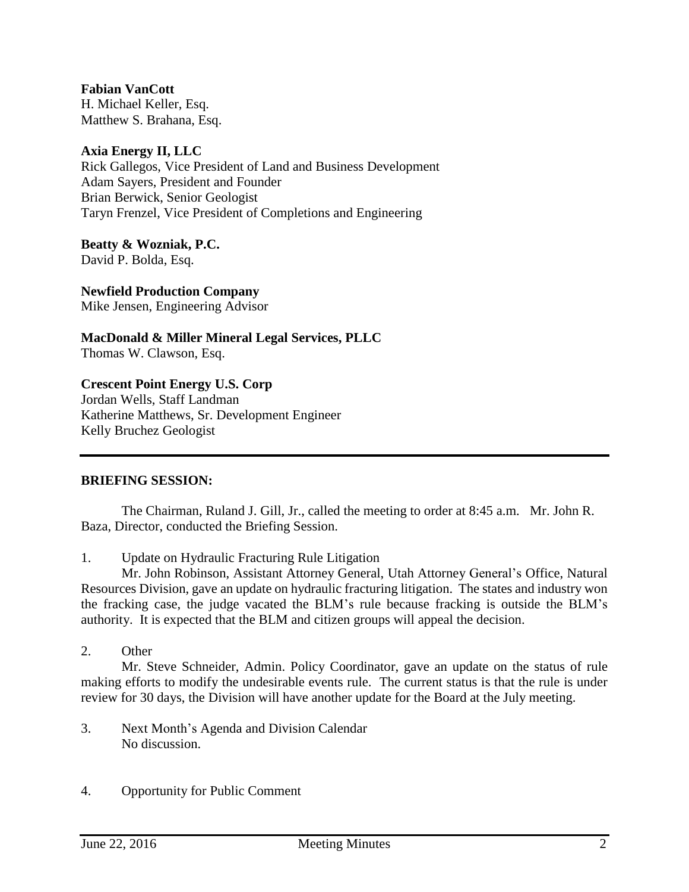**Fabian VanCott** H. Michael Keller, Esq. Matthew S. Brahana, Esq.

### **Axia Energy II, LLC**

Rick Gallegos, Vice President of Land and Business Development Adam Sayers, President and Founder Brian Berwick, Senior Geologist Taryn Frenzel, Vice President of Completions and Engineering

**Beatty & Wozniak, P.C.** David P. Bolda, Esq.

**Newfield Production Company** Mike Jensen, Engineering Advisor

**MacDonald & Miller Mineral Legal Services, PLLC** Thomas W. Clawson, Esq.

#### **Crescent Point Energy U.S. Corp**

Jordan Wells, Staff Landman Katherine Matthews, Sr. Development Engineer Kelly Bruchez Geologist

#### **BRIEFING SESSION:**

The Chairman, Ruland J. Gill, Jr., called the meeting to order at 8:45 a.m. Mr. John R. Baza, Director, conducted the Briefing Session.

1. Update on Hydraulic Fracturing Rule Litigation

Mr. John Robinson, Assistant Attorney General, Utah Attorney General's Office, Natural Resources Division, gave an update on hydraulic fracturing litigation. The states and industry won the fracking case, the judge vacated the BLM's rule because fracking is outside the BLM's authority. It is expected that the BLM and citizen groups will appeal the decision.

#### 2. Other

Mr. Steve Schneider, Admin. Policy Coordinator, gave an update on the status of rule making efforts to modify the undesirable events rule. The current status is that the rule is under review for 30 days, the Division will have another update for the Board at the July meeting.

- 3. Next Month's Agenda and Division Calendar No discussion.
- 4. Opportunity for Public Comment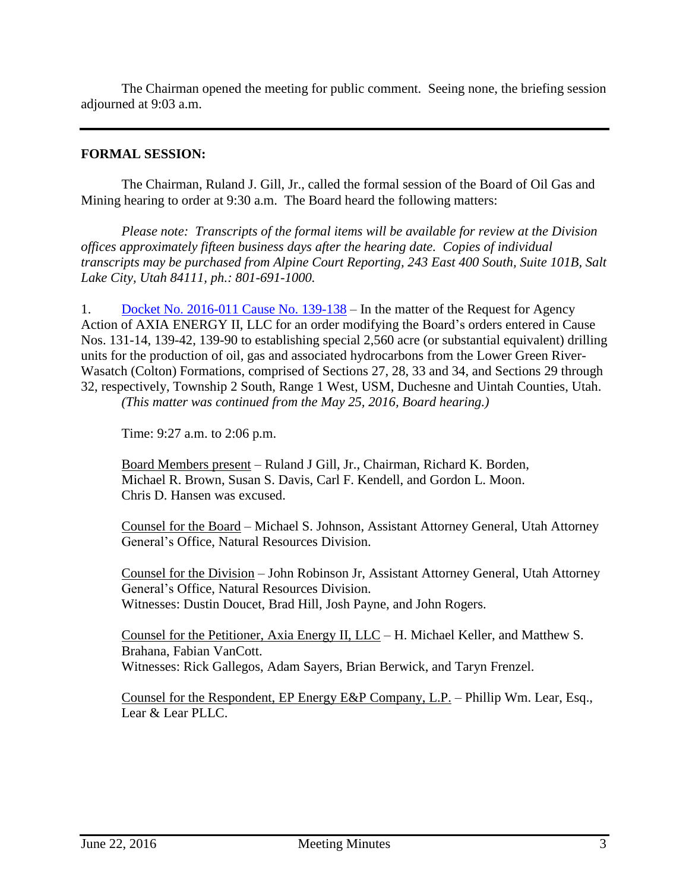The Chairman opened the meeting for public comment. Seeing none, the briefing session adjourned at 9:03 a.m.

# **FORMAL SESSION:**

The Chairman, Ruland J. Gill, Jr., called the formal session of the Board of Oil Gas and Mining hearing to order at 9:30 a.m. The Board heard the following matters:

*Please note: Transcripts of the formal items will be available for review at the Division offices approximately fifteen business days after the hearing date. Copies of individual transcripts may be purchased from Alpine Court Reporting, 243 East 400 South, Suite 101B, Salt Lake City, Utah 84111, ph.: 801-691-1000.*

1. Docket No. [2016-011](http://ogm.utah.gov/amr/boardtemp/redesign/2016/06_Jun/Dockets/2016-011_139-138_Axia.php) Cause No. 139-138 – In the matter of the Request for Agency Action of AXIA ENERGY II, LLC for an order modifying the Board's orders entered in Cause Nos. 131-14, 139-42, 139-90 to establishing special 2,560 acre (or substantial equivalent) drilling units for the production of oil, gas and associated hydrocarbons from the Lower Green River-Wasatch (Colton) Formations, comprised of Sections 27, 28, 33 and 34, and Sections 29 through 32, respectively, Township 2 South, Range 1 West, USM, Duchesne and Uintah Counties, Utah. *(This matter was continued from the May 25, 2016, Board hearing.)*

Time: 9:27 a.m. to 2:06 p.m.

Board Members present – Ruland J Gill, Jr., Chairman, Richard K. Borden, Michael R. Brown, Susan S. Davis, Carl F. Kendell, and Gordon L. Moon. Chris D. Hansen was excused.

Counsel for the Board – Michael S. Johnson, Assistant Attorney General, Utah Attorney General's Office, Natural Resources Division.

Counsel for the Division – John Robinson Jr, Assistant Attorney General, Utah Attorney General's Office, Natural Resources Division. Witnesses: Dustin Doucet, Brad Hill, Josh Payne, and John Rogers.

Counsel for the Petitioner, Axia Energy II, LLC – H. Michael Keller, and Matthew S. Brahana, Fabian VanCott. Witnesses: Rick Gallegos, Adam Sayers, Brian Berwick, and Taryn Frenzel.

Counsel for the Respondent, EP Energy E&P Company, L.P. – Phillip Wm. Lear, Esq., Lear & Lear PLLC.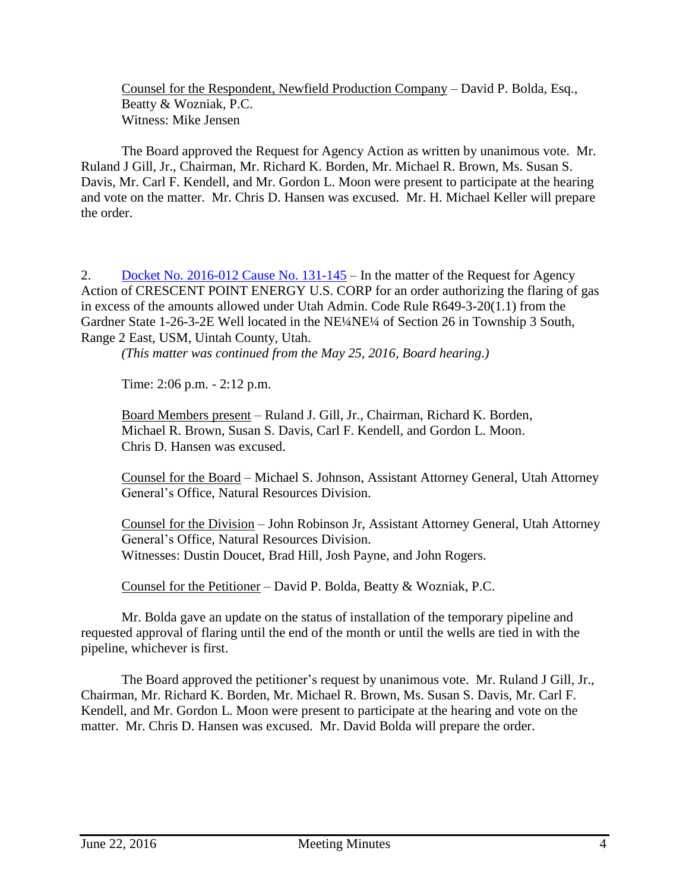Counsel for the Respondent, Newfield Production Company – David P. Bolda, Esq., Beatty & Wozniak, P.C. Witness: Mike Jensen

The Board approved the Request for Agency Action as written by unanimous vote. Mr. Ruland J Gill, Jr., Chairman, Mr. Richard K. Borden, Mr. Michael R. Brown, Ms. Susan S. Davis, Mr. Carl F. Kendell, and Mr. Gordon L. Moon were present to participate at the hearing and vote on the matter. Mr. Chris D. Hansen was excused. Mr. H. Michael Keller will prepare the order.

2. Docket No. [2016-012](http://ogm.utah.gov/amr/boardtemp/redesign/2016/06_Jun/Dockets/2016-012_131-145_CPE.php) Cause No. 131-145 – In the matter of the Request for Agency Action of CRESCENT POINT ENERGY U.S. CORP for an order authorizing the flaring of gas in excess of the amounts allowed under Utah Admin. Code Rule R649-3-20(1.1) from the Gardner State 1-26-3-2E Well located in the NE¼NE¼ of Section 26 in Township 3 South, Range 2 East, USM, Uintah County, Utah.

*(This matter was continued from the May 25, 2016, Board hearing.)*

Time: 2:06 p.m. - 2:12 p.m.

Board Members present – Ruland J. Gill, Jr., Chairman, Richard K. Borden, Michael R. Brown, Susan S. Davis, Carl F. Kendell, and Gordon L. Moon. Chris D. Hansen was excused.

Counsel for the Board – Michael S. Johnson, Assistant Attorney General, Utah Attorney General's Office, Natural Resources Division.

Counsel for the Division – John Robinson Jr, Assistant Attorney General, Utah Attorney General's Office, Natural Resources Division. Witnesses: Dustin Doucet, Brad Hill, Josh Payne, and John Rogers.

Counsel for the Petitioner – David P. Bolda, Beatty & Wozniak, P.C.

Mr. Bolda gave an update on the status of installation of the temporary pipeline and requested approval of flaring until the end of the month or until the wells are tied in with the pipeline, whichever is first.

The Board approved the petitioner's request by unanimous vote. Mr. Ruland J Gill, Jr., Chairman, Mr. Richard K. Borden, Mr. Michael R. Brown, Ms. Susan S. Davis, Mr. Carl F. Kendell, and Mr. Gordon L. Moon were present to participate at the hearing and vote on the matter. Mr. Chris D. Hansen was excused. Mr. David Bolda will prepare the order.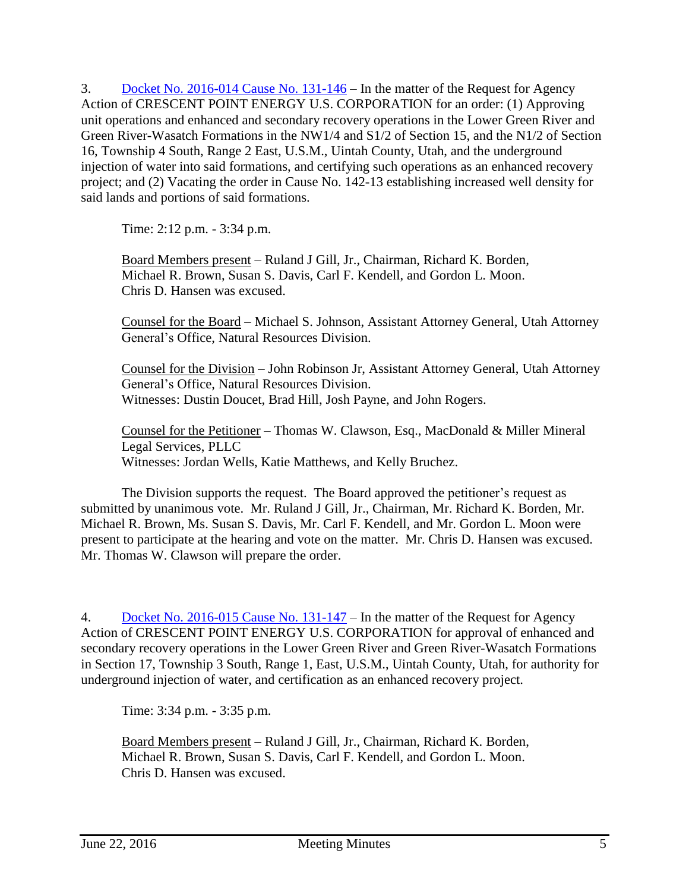3. Docket No. [2016-014](http://ogm.utah.gov/amr/boardtemp/redesign/2016/06_Jun/Dockets/2016-014_131-146_CrescentPoint-WildHorse.php) Cause No. 131-146 – In the matter of the Request for Agency Action of CRESCENT POINT ENERGY U.S. CORPORATION for an order: (1) Approving unit operations and enhanced and secondary recovery operations in the Lower Green River and Green River-Wasatch Formations in the NW1/4 and S1/2 of Section 15, and the N1/2 of Section 16, Township 4 South, Range 2 East, U.S.M., Uintah County, Utah, and the underground injection of water into said formations, and certifying such operations as an enhanced recovery project; and (2) Vacating the order in Cause No. 142-13 establishing increased well density for said lands and portions of said formations.

Time: 2:12 p.m. - 3:34 p.m.

Board Members present – Ruland J Gill, Jr., Chairman, Richard K. Borden, Michael R. Brown, Susan S. Davis, Carl F. Kendell, and Gordon L. Moon. Chris D. Hansen was excused.

Counsel for the Board – Michael S. Johnson, Assistant Attorney General, Utah Attorney General's Office, Natural Resources Division.

Counsel for the Division – John Robinson Jr, Assistant Attorney General, Utah Attorney General's Office, Natural Resources Division. Witnesses: Dustin Doucet, Brad Hill, Josh Payne, and John Rogers.

Counsel for the Petitioner – Thomas W. Clawson, Esq., MacDonald & Miller Mineral Legal Services, PLLC Witnesses: Jordan Wells, Katie Matthews, and Kelly Bruchez.

The Division supports the request. The Board approved the petitioner's request as submitted by unanimous vote. Mr. Ruland J Gill, Jr., Chairman, Mr. Richard K. Borden, Mr. Michael R. Brown, Ms. Susan S. Davis, Mr. Carl F. Kendell, and Mr. Gordon L. Moon were present to participate at the hearing and vote on the matter. Mr. Chris D. Hansen was excused. Mr. Thomas W. Clawson will prepare the order.

4. Docket No. [2016-015](http://ogm.utah.gov/amr/boardtemp/redesign/2016/06_Jun/Dockets/2016-015_131-147_CrescentPoint-Independence.php) Cause No. 131-147 – In the matter of the Request for Agency Action of CRESCENT POINT ENERGY U.S. CORPORATION for approval of enhanced and secondary recovery operations in the Lower Green River and Green River-Wasatch Formations in Section 17, Township 3 South, Range 1, East, U.S.M., Uintah County, Utah, for authority for underground injection of water, and certification as an enhanced recovery project.

Time: 3:34 p.m. - 3:35 p.m.

Board Members present – Ruland J Gill, Jr., Chairman, Richard K. Borden, Michael R. Brown, Susan S. Davis, Carl F. Kendell, and Gordon L. Moon. Chris D. Hansen was excused.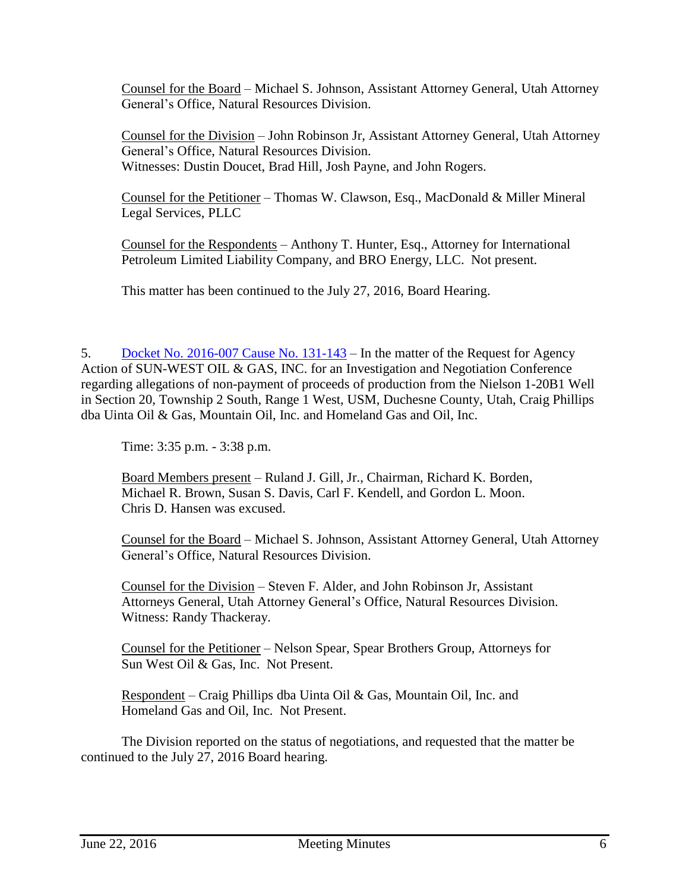Counsel for the Board – Michael S. Johnson, Assistant Attorney General, Utah Attorney General's Office, Natural Resources Division.

Counsel for the Division – John Robinson Jr, Assistant Attorney General, Utah Attorney General's Office, Natural Resources Division. Witnesses: Dustin Doucet, Brad Hill, Josh Payne, and John Rogers.

Counsel for the Petitioner – Thomas W. Clawson, Esq., MacDonald & Miller Mineral Legal Services, PLLC

Counsel for the Respondents – Anthony T. Hunter, Esq., Attorney for International Petroleum Limited Liability Company, and BRO Energy, LLC. Not present.

This matter has been continued to the July 27, 2016, Board Hearing.

5. Docket No. [2016-007](http://ogm.utah.gov/amr/boardtemp/redesign/2016/06_Jun/Dockets/2016-007_131-143_Sun-West.php) Cause No. 131-143 – In the matter of the Request for Agency Action of SUN-WEST OIL & GAS, INC. for an Investigation and Negotiation Conference regarding allegations of non-payment of proceeds of production from the Nielson 1-20B1 Well in Section 20, Township 2 South, Range 1 West, USM, Duchesne County, Utah, Craig Phillips dba Uinta Oil & Gas, Mountain Oil, Inc. and Homeland Gas and Oil, Inc.

Time: 3:35 p.m. - 3:38 p.m.

Board Members present – Ruland J. Gill, Jr., Chairman, Richard K. Borden, Michael R. Brown, Susan S. Davis, Carl F. Kendell, and Gordon L. Moon. Chris D. Hansen was excused.

Counsel for the Board – Michael S. Johnson, Assistant Attorney General, Utah Attorney General's Office, Natural Resources Division.

Counsel for the Division – Steven F. Alder, and John Robinson Jr, Assistant Attorneys General, Utah Attorney General's Office, Natural Resources Division. Witness: Randy Thackeray.

Counsel for the Petitioner – Nelson Spear, Spear Brothers Group, Attorneys for Sun West Oil & Gas, Inc. Not Present.

Respondent – Craig Phillips dba Uinta Oil & Gas, Mountain Oil, Inc. and Homeland Gas and Oil, Inc. Not Present.

The Division reported on the status of negotiations, and requested that the matter be continued to the July 27, 2016 Board hearing.